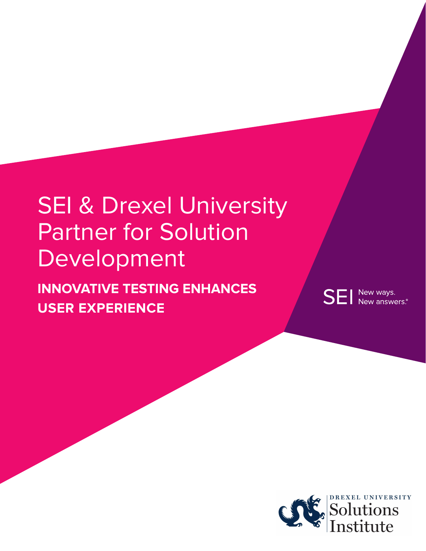# **SEI & Drexel University** Partner for Solution Development

**INNOVATIVE TESTING ENHANCES USER EXPERIENCE**

**SEI** New ways. New answers.®

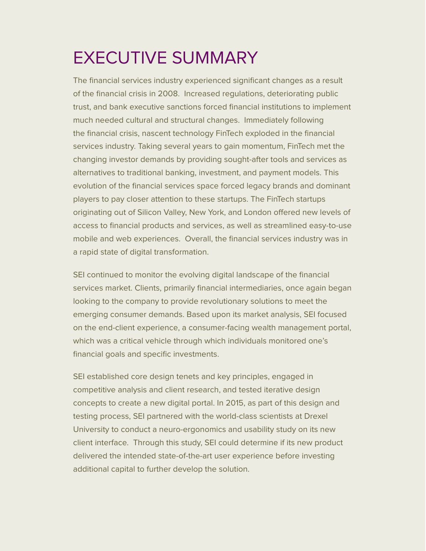# EXECUTIVE SUMMARY

The financial services industry experienced significant changes as a result of the financial crisis in 2008. Increased regulations, deteriorating public trust, and bank executive sanctions forced financial institutions to implement much needed cultural and structural changes. Immediately following the financial crisis, nascent technology FinTech exploded in the financial services industry. Taking several years to gain momentum, FinTech met the changing investor demands by providing sought-after tools and services as alternatives to traditional banking, investment, and payment models. This evolution of the financial services space forced legacy brands and dominant players to pay closer attention to these startups. The FinTech startups originating out of Silicon Valley, New York, and London offered new levels of access to financial products and services, as well as streamlined easy-to-use mobile and web experiences. Overall, the financial services industry was in a rapid state of digital transformation.

SEI continued to monitor the evolving digital landscape of the financial services market. Clients, primarily financial intermediaries, once again began looking to the company to provide revolutionary solutions to meet the emerging consumer demands. Based upon its market analysis, SEI focused on the end-client experience, a consumer-facing wealth management portal, which was a critical vehicle through which individuals monitored one's financial goals and specific investments.

SEI established core design tenets and key principles, engaged in competitive analysis and client research, and tested iterative design concepts to create a new digital portal. In 2015, as part of this design and testing process, SEI partnered with the world-class scientists at Drexel University to conduct a neuro-ergonomics and usability study on its new client interface. Through this study, SEI could determine if its new product delivered the intended state-of-the-art user experience before investing additional capital to further develop the solution.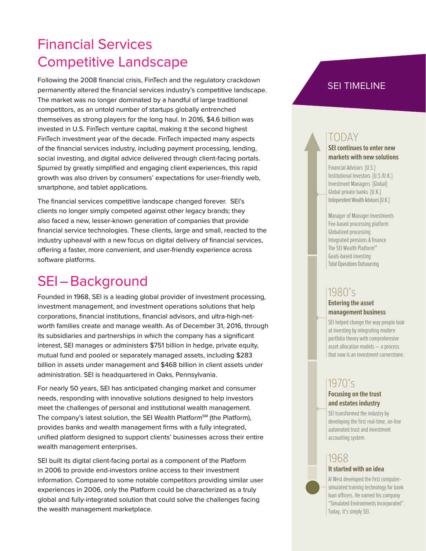# Financial Services Competitive Landscape

Following the 2008 financial crisis, FinTech and the regulatory crackdown permanently altered the financial services industry's competitive landscape. The market was no longer dominated by a handful of large traditional competitors, as an untold number of startups globally entrenched themselves as strong players for the long haul. In 2016, \$4.6 billion was invested in U.S. FinTech venture capital, making it the second highest FinTech investment year of the decade. FinTech impacted many aspects of the financial services industry, including payment processing, lending, social investing, and digital advice delivered through client-facing portals. Spurred by greatly simplified and engaging client experiences, this rapid growth was also driven by consumers' expectations for user-friendly web, smartphone, and tablet applications.

The financial services competitive landscape changed forever. SEI's clients no longer simply competed against other legacy brands; they also faced a new, lesser-known generation of companies that provide financial service technologies. These clients, large and small, reacted to the industry upheaval with a new focus on digital delivery of financial services, offering a faster, more convenient, and user-friendly experience across software platforms.

# SEI–Background

Founded in 1968, SEI is a leading global provider of investment processing, investment management, and investment operations solutions that help corporations, financial institutions, financial advisors, and ultra-high-networth families create and manage wealth. As of December 31, 2016, through its subsidiaries and partnerships in which the company has a significant interest, SEI manages or administers \$751 billion in hedge, private equity, mutual fund and pooled or separately managed assets, including \$283 billion in assets under management and \$468 billion in client assets under administration. SEI is headquartered in Oaks, Pennsylvania.

For nearly 50 years, SEI has anticipated changing market and consumer needs, responding with innovative solutions designed to help investors meet the challenges of personal and institutional wealth management. The company's latest solution, the SEI Wealth Platform<sup>SM</sup> (the Platform), provides banks and wealth management firms with a fully integrated, unified platform designed to support clients' businesses across their entire wealth management enterprises.

SEI built its digital client-facing portal as a component of the Platform in 2006 to provide end-investors online access to their investment information. Compared to some notable competitors providing similar user experiences in 2006, only the Platform could be characterized as a truly global and fully-integrated solution that could solve the challenges facing the wealth management marketplace.

### SEI TIMELINE

### TODAY

#### **SEI continues to enter new markets with new solutions**

Financial Advisors [U.S.] Institutional Investors [U.S./U.K.] Investment Managers [Global] Global private banks [U.K.] Independent Wealth Advisors [U.K.]

Manager of Manager Investments Fee-based processing platform Globalized processing Integrated pensions & finance The SEI Wealth Platform<sup>SM</sup> Goals-based investing Total Operations Outsourcing

### 1980's

#### **Entering the asset management business**

SEI helped change the way people look at investing by integrating modern portfolio theory with comprehensive asset allocation models — a process that now is an investment cornerstone.

### 1970's

#### **Focusing on the trust and estates industry**

SEI transformed the industry by developing the first real-time, on-line automated trust and investment accounting system.

## 1968

#### **It started with an idea**

Al West developed the first computersimulated training technology for bank loan officers. He named his company "Simulated Environments Incorporated". Today, it's simply SEI.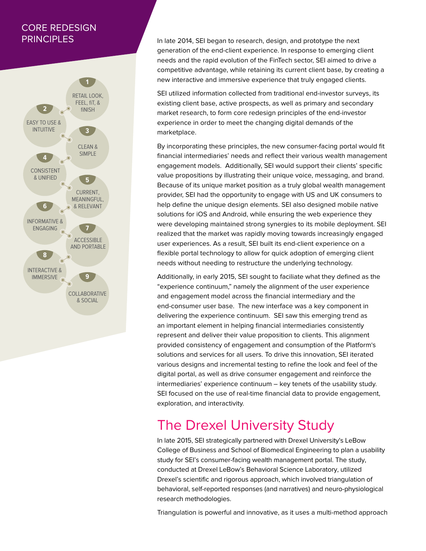### CORE REDESIGN **PRINCIPLES**



In late 2014, SEI began to research, design, and prototype the next generation of the end-client experience. In response to emerging client needs and the rapid evolution of the FinTech sector, SEI aimed to drive a competitive advantage, while retaining its current client base, by creating a new interactive and immersive experience that truly engaged clients.

SEI utilized information collected from traditional end-investor surveys, its existing client base, active prospects, as well as primary and secondary market research, to form core redesign principles of the end-investor experience in order to meet the changing digital demands of the marketplace.

By incorporating these principles, the new consumer-facing portal would fit financial intermediaries' needs and reflect their various wealth management engagement models. Additionally, SEI would support their clients' specific value propositions by illustrating their unique voice, messaging, and brand. Because of its unique market position as a truly global wealth management provider, SEI had the opportunity to engage with US and UK consumers to help define the unique design elements. SEI also designed mobile native solutions for iOS and Android, while ensuring the web experience they were developing maintained strong synergies to its mobile deployment. SEI realized that the market was rapidly moving towards increasingly engaged user experiences. As a result, SEI built its end-client experience on a flexible portal technology to allow for quick adoption of emerging client needs without needing to restructure the underlying technology.

Additionally, in early 2015, SEI sought to faciliate what they defined as the "experience continuum," namely the alignment of the user experience and engagement model across the financial intermediary and the end-consumer user base. The new interface was a key component in delivering the experience continuum. SEI saw this emerging trend as an important element in helping financial intermediaries consistently represent and deliver their value proposition to clients. This alignment provided consistency of engagement and consumption of the Platform's solutions and services for all users. To drive this innovation, SEI iterated various designs and incremental testing to refine the look and feel of the digital portal, as well as drive consumer engagement and reinforce the intermediaries' experience continuum – key tenets of the usability study. SEI focused on the use of real-time financial data to provide engagement, exploration, and interactivity.

# The Drexel University Study

In late 2015, SEI strategically partnered with Drexel University's LeBow College of Business and School of Biomedical Engineering to plan a usability study for SEI's consumer-facing wealth management portal. The study, conducted at Drexel LeBow's Behavioral Science Laboratory, utilized Drexel's scientific and rigorous approach, which involved triangulation of behavioral, self-reported responses (and narratives) and neuro-physiological research methodologies.

Triangulation is powerful and innovative, as it uses a multi-method approach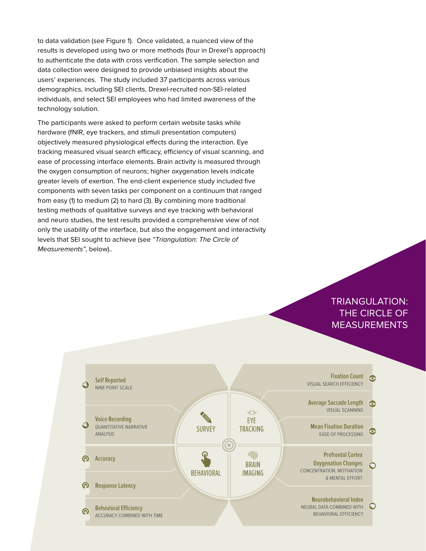to data validation (see Figure 1). Once validated, a nuanced view of the results is developed using two or more methods (four in Drexel's approach) to authenticate the data with cross verification. The sample selection and data collection were designed to provide unbiased insights about the users' experiences. The study included 37 participants across various demographics, including SEI clients, Drexel-recruited non-SEI-related individuals, and select SEI employees who had limited awareness of the technology solution.

The participants were asked to perform certain website tasks while hardware (fNIR, eye trackers, and stimuli presentation computers) objectively measured physiological effects during the interaction. Eye tracking measured visual search efficacy, efficiency of visual scanning, and ease of processing interface elements. Brain activity is measured through the oxygen consumption of neurons; higher oxygenation levels indicate greater levels of exertion. The end-client experience study included five components with seven tasks per component on a continuum that ranged from easy (1) to medium (2) to hard (3). By combining more traditional testing methods of qualitative surveys and eye tracking with behavioral and neuro studies, the test results provided a comprehensive view of not only the usability of the interface, but also the engagement and interactivity levels that SEI sought to achieve (see "Triangulation: The Circle of Measurements", below)..

### TRIANGULATION: THE CIRCLE OF MEASUREMENTS

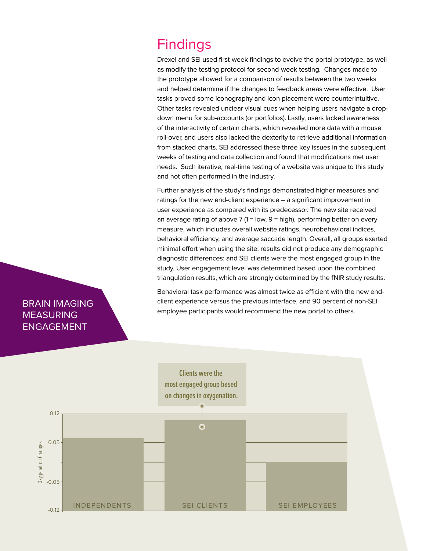# **Findings**

Drexel and SEI used first-week findings to evolve the portal prototype, as well as modify the testing protocol for second-week testing. Changes made to the prototype allowed for a comparison of results between the two weeks and helped determine if the changes to feedback areas were effective. User tasks proved some iconography and icon placement were counterintuitive. Other tasks revealed unclear visual cues when helping users navigate a dropdown menu for sub-accounts (or portfolios). Lastly, users lacked awareness of the interactivity of certain charts, which revealed more data with a mouse roll-over, and users also lacked the dexterity to retrieve additional information from stacked charts. SEI addressed these three key issues in the subsequent weeks of testing and data collection and found that modifications met user needs. Such iterative, real-time testing of a website was unique to this study and not often performed in the industry.

Further analysis of the study's findings demonstrated higher measures and ratings for the new end-client experience – a significant improvement in user experience as compared with its predecessor. The new site received an average rating of above 7 (1 = low, 9 = high), performing better on every measure, which includes overall website ratings, neurobehavioral indices, behavioral efficiency, and average saccade length. Overall, all groups exerted minimal effort when using the site; results did not produce any demographic diagnostic differences; and SEI clients were the most engaged group in the study. User engagement level was determined based upon the combined triangulation results, which are strongly determined by the fNIR study results.

Behavioral task performance was almost twice as efficient with the new endclient experience versus the previous interface, and 90 percent of non-SEI employee participants would recommend the new portal to others.



### BRAIN IMAGING MEASURING ENGAGEMENT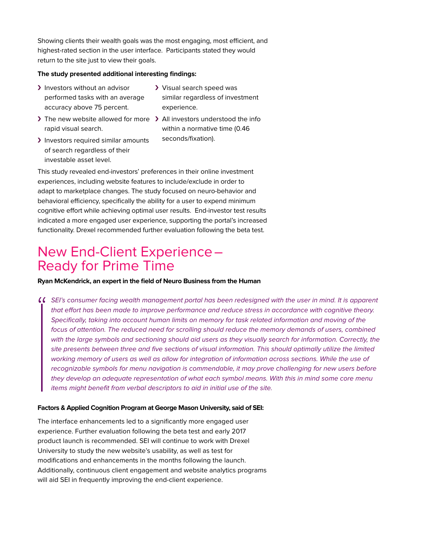Showing clients their wealth goals was the most engaging, most efficient, and highest-rated section in the user interface. Participants stated they would return to the site just to view their goals.

#### **The study presented additional interesting findings:**

- > Investors without an advisor performed tasks with an average accuracy above 75 percent.
- > Visual search speed was similar regardless of investment experience.
- > The new website allowed for more > All investors understood the info rapid visual search.
- within a normative time (0.46 seconds/fixation).
- > Investors required similar amounts of search regardless of their investable asset level.

This study revealed end-investors' preferences in their online investment experiences, including website features to include/exclude in order to adapt to marketplace changes. The study focused on neuro-behavior and behavioral efficiency, specifically the ability for a user to expend minimum cognitive effort while achieving optimal user results. End-investor test results indicated a more engaged user experience, supporting the portal's increased functionality. Drexel recommended further evaluation following the beta test.

# New End-Client Experience– Ready for Prime Time

#### **Ryan McKendrick, an expert in the field of Neuro Business from the Human**

CCSEI's consumer facing wealth management portal has been redesigned with the user in mind. It is apparent<br>
that effort has been made to improve performance and reduce stress in accordance with cognitive theory.<br>
Specifica that effort has been made to improve performance and reduce stress in accordance with cognitive theory. Specifically, taking into account human limits on memory for task related information and moving of the focus of attention. The reduced need for scrolling should reduce the memory demands of users, combined with the large symbols and sectioning should aid users as they visually search for information. Correctly, the site presents between three and five sections of visual information. This should optimally utilize the limited working memory of users as well as allow for integration of information across sections. While the use of recognizable symbols for menu navigation is commendable, it may prove challenging for new users before they develop an adequate representation of what each symbol means. With this in mind some core menu items might benefit from verbal descriptors to aid in initial use of the site.

#### **Factors & Applied Cognition Program at George Mason University, said of SEI:**

The interface enhancements led to a significantly more engaged user experience. Further evaluation following the beta test and early 2017 product launch is recommended. SEI will continue to work with Drexel University to study the new website's usability, as well as test for modifications and enhancements in the months following the launch. Additionally, continuous client engagement and website analytics programs will aid SEI in frequently improving the end-client experience.